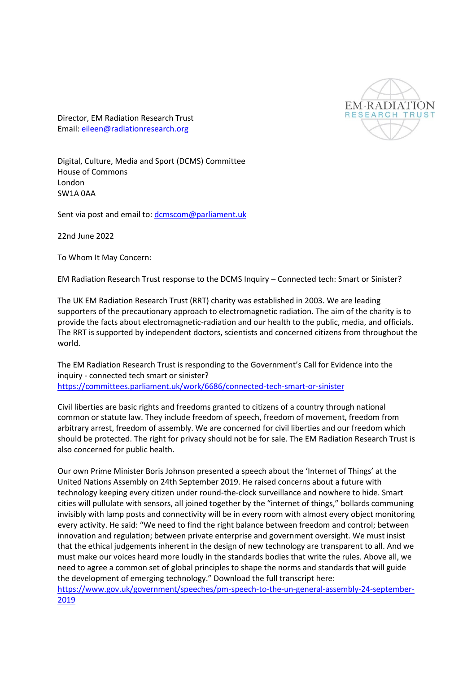

Director, EM Radiation Research Trust Email: [eileen@radiationresearch.org](mailto:eileen@radiationresearch.org)

Digital, Culture, Media and Sport (DCMS) Committee House of Commons London SW1A 0AA

Sent via post and email to: [dcmscom@parliament.uk](mailto:dcmscom@parliament.uk)

22nd June 2022

To Whom It May Concern:

EM Radiation Research Trust response to the DCMS Inquiry – Connected tech: Smart or Sinister?

The UK EM Radiation Research Trust (RRT) charity was established in 2003. We are leading supporters of the precautionary approach to electromagnetic radiation. The aim of the charity is to provide the facts about electromagnetic-radiation and our health to the public, media, and officials. The RRT is supported by independent doctors, scientists and concerned citizens from throughout the world.

The EM Radiation Research Trust is responding to the Government's Call for Evidence into the inquiry - connected tech smart or sinister? <https://committees.parliament.uk/work/6686/connected-tech-smart-or-sinister>

Civil liberties are basic rights and freedoms granted to citizens of a country through national common or statute law. They include freedom of speech, freedom of movement, freedom from arbitrary arrest, freedom of assembly. We are concerned for civil liberties and our freedom which should be protected. The right for privacy should not be for sale. The EM Radiation Research Trust is also concerned for public health.

Our own Prime Minister Boris Johnson presented a speech about the 'Internet of Things' at the United Nations Assembly on 24th September 2019. He raised concerns about a future with technology keeping every citizen under round-the-clock surveillance and nowhere to hide. Smart cities will pullulate with sensors, all joined together by the "internet of things," bollards communing invisibly with lamp posts and connectivity will be in every room with almost every object monitoring every activity. He said: "We need to find the right balance between freedom and control; between innovation and regulation; between private enterprise and government oversight. We must insist that the ethical judgements inherent in the design of new technology are transparent to all. And we must make our voices heard more loudly in the standards bodies that write the rules. Above all, we need to agree a common set of global principles to shape the norms and standards that will guide the development of emerging technology." Download the full transcript here:

[https://www.gov.uk/government/speeches/pm-speech-to-the-un-general-assembly-24-september-](https://www.gov.uk/government/speeches/pm-speech-to-the-un-general-assembly-24-september-2019)[2019](https://www.gov.uk/government/speeches/pm-speech-to-the-un-general-assembly-24-september-2019)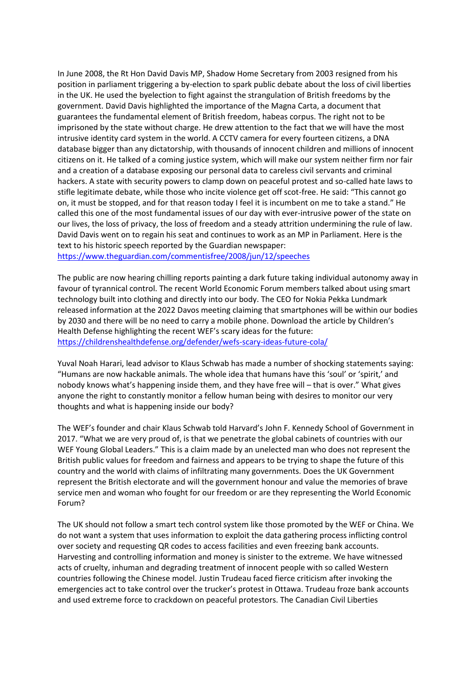In June 2008, the Rt Hon David Davis MP, Shadow Home Secretary from 2003 resigned from his position in parliament triggering a by-election to spark public debate about the loss of civil liberties in the UK. He used the byelection to fight against the strangulation of British freedoms by the government. David Davis highlighted the importance of the Magna Carta, a document that guarantees the fundamental element of British freedom, habeas corpus. The right not to be imprisoned by the state without charge. He drew attention to the fact that we will have the most intrusive identity card system in the world. A CCTV camera for every fourteen citizens, a DNA database bigger than any dictatorship, with thousands of innocent children and millions of innocent citizens on it. He talked of a coming justice system, which will make our system neither firm nor fair and a creation of a database exposing our personal data to careless civil servants and criminal hackers. A state with security powers to clamp down on peaceful protest and so-called hate laws to stifle legitimate debate, while those who incite violence get off scot-free. He said: "This cannot go on, it must be stopped, and for that reason today I feel it is incumbent on me to take a stand." He called this one of the most fundamental issues of our day with ever-intrusive power of the state on our lives, the loss of privacy, the loss of freedom and a steady attrition undermining the rule of law. David Davis went on to regain his seat and continues to work as an MP in Parliament. Here is the text to his historic speech reported by the Guardian newspaper: <https://www.theguardian.com/commentisfree/2008/jun/12/speeches>

The public are now hearing chilling reports painting a dark future taking individual autonomy away in favour of tyrannical control. The recent World Economic Forum members talked about using smart technology built into clothing and directly into our body. The CEO for Nokia Pekka Lundmark released information at the 2022 Davos meeting claiming that smartphones will be within our bodies by 2030 and there will be no need to carry a mobile phone. Download the article by Children's Health Defense highlighting the recent WEF's scary ideas for the future: <https://childrenshealthdefense.org/defender/wefs-scary-ideas-future-cola/>

Yuval Noah Harari, lead advisor to Klaus Schwab has made a number of shocking statements saying: "Humans are now hackable animals. The whole idea that humans have this 'soul' or 'spirit,' and nobody knows what's happening inside them, and they have free will – that is over." What gives anyone the right to constantly monitor a fellow human being with desires to monitor our very thoughts and what is happening inside our body?

The WEF's founder and chair Klaus Schwab told Harvard's John F. Kennedy School of Government in 2017. "What we are very proud of, is that we penetrate the global cabinets of countries with our WEF Young Global Leaders." This is a claim made by an unelected man who does not represent the British public values for freedom and fairness and appears to be trying to shape the future of this country and the world with claims of infiltrating many governments. Does the UK Government represent the British electorate and will the government honour and value the memories of brave service men and woman who fought for our freedom or are they representing the World Economic Forum?

The UK should not follow a smart tech control system like those promoted by the WEF or China. We do not want a system that uses information to exploit the data gathering process inflicting control over society and requesting QR codes to access facilities and even freezing bank accounts. Harvesting and controlling information and money is sinister to the extreme. We have witnessed acts of cruelty, inhuman and degrading treatment of innocent people with so called Western countries following the Chinese model. Justin Trudeau faced fierce criticism after invoking the emergencies act to take control over the trucker's protest in Ottawa. Trudeau froze bank accounts and used extreme force to crackdown on peaceful protestors. The Canadian Civil Liberties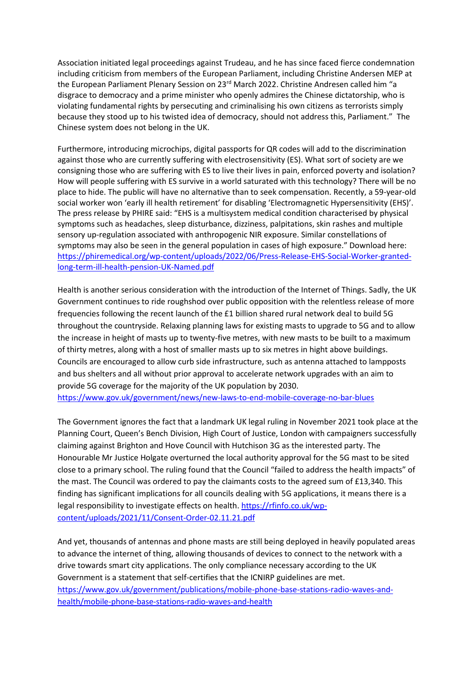Association initiated legal proceedings against Trudeau, and he has since faced fierce condemnation including criticism from members of the European Parliament, including Christine Andersen MEP at the European Parliament Plenary Session on 23<sup>rd</sup> March 2022. Christine Andresen called him "a disgrace to democracy and a prime minister who openly admires the Chinese dictatorship, who is violating fundamental rights by persecuting and criminalising his own citizens as terrorists simply because they stood up to his twisted idea of democracy, should not address this, Parliament." The Chinese system does not belong in the UK.

Furthermore, introducing microchips, digital passports for QR codes will add to the discrimination against those who are currently suffering with electrosensitivity (ES). What sort of society are we consigning those who are suffering with ES to live their lives in pain, enforced poverty and isolation? How will people suffering with ES survive in a world saturated with this technology? There will be no place to hide. The public will have no alternative than to seek compensation. Recently, a 59-year-old social worker won 'early ill health retirement' for disabling 'Electromagnetic Hypersensitivity (EHS)'. The press release by PHIRE said: "EHS is a multisystem medical condition characterised by physical symptoms such as headaches, sleep disturbance, dizziness, palpitations, skin rashes and multiple sensory up-regulation associated with anthropogenic NIR exposure. Similar constellations of symptoms may also be seen in the general population in cases of high exposure." Download here: [https://phiremedical.org/wp-content/uploads/2022/06/Press-Release-EHS-Social-Worker-granted](https://phiremedical.org/wp-content/uploads/2022/06/Press-Release-EHS-Social-Worker-granted-long-term-ill-health-pension-UK-Named.pdf)[long-term-ill-health-pension-UK-Named.pdf](https://phiremedical.org/wp-content/uploads/2022/06/Press-Release-EHS-Social-Worker-granted-long-term-ill-health-pension-UK-Named.pdf)

Health is another serious consideration with the introduction of the Internet of Things. Sadly, the UK Government continues to ride roughshod over public opposition with the relentless release of more frequencies following the recent launch of the £1 billion shared rural network deal to build 5G throughout the countryside. Relaxing planning laws for existing masts to upgrade to 5G and to allow the increase in height of masts up to twenty-five metres, with new masts to be built to a maximum of thirty metres, along with a host of smaller masts up to six metres in hight above buildings. Councils are encouraged to allow curb side infrastructure, such as antenna attached to lampposts and bus shelters and all without prior approval to accelerate network upgrades with an aim to provide 5G coverage for the majority of the UK population by 2030.

<https://www.gov.uk/government/news/new-laws-to-end-mobile-coverage-no-bar-blues>

The Government ignores the fact that a landmark UK legal ruling in November 2021 took place at the Planning Court, Queen's Bench Division, High Court of Justice, London with campaigners successfully claiming against Brighton and Hove Council with Hutchison 3G as the interested party. The Honourable Mr Justice Holgate overturned the local authority approval for the 5G mast to be sited close to a primary school. The ruling found that the Council "failed to address the health impacts" of the mast. The Council was ordered to pay the claimants costs to the agreed sum of £13,340. This finding has significant implications for all councils dealing with 5G applications, it means there is a legal responsibility to investigate effects on health[. https://rfinfo.co.uk/wp](https://rfinfo.co.uk/wp-content/uploads/2021/11/Consent-Order-02.11.21.pdf)[content/uploads/2021/11/Consent-Order-02.11.21.pdf](https://rfinfo.co.uk/wp-content/uploads/2021/11/Consent-Order-02.11.21.pdf)

And yet, thousands of antennas and phone masts are still being deployed in heavily populated areas to advance the internet of thing, allowing thousands of devices to connect to the network with a drive towards smart city applications. The only compliance necessary according to the UK Government is a statement that self-certifies that the ICNIRP guidelines are met. [https://www.gov.uk/government/publications/mobile-phone-base-stations-radio-waves-and](https://www.gov.uk/government/publications/mobile-phone-base-stations-radio-waves-and-health/mobile-phone-base-stations-radio-waves-and-health)[health/mobile-phone-base-stations-radio-waves-and-health](https://www.gov.uk/government/publications/mobile-phone-base-stations-radio-waves-and-health/mobile-phone-base-stations-radio-waves-and-health)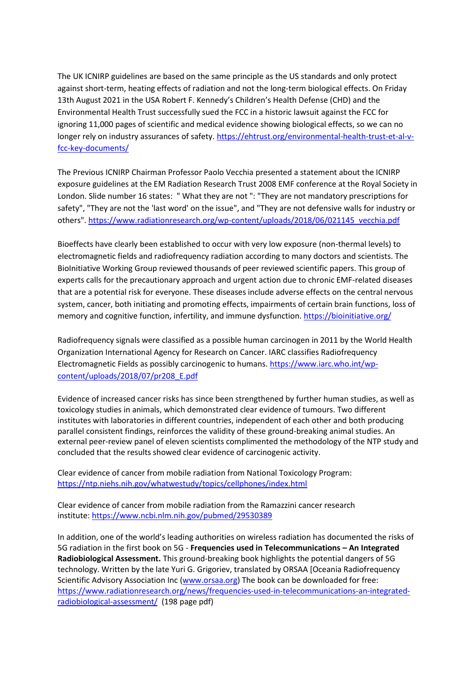The UK ICNIRP guidelines are based on the same principle as the US standards and only protect against short-term, heating effects of radiation and not the long-term biological effects. On Friday 13th August 2021 in the USA Robert F. Kennedy's Children's Health Defense (CHD) and the Environmental Health Trust successfully sued the FCC in a historic lawsuit against the FCC for ignoring 11,000 pages of scientific and medical evidence showing biological effects, so we can no longer rely on industry assurances of safety. [https://ehtrust.org/environmental-health-trust-et-al-v](https://ehtrust.org/environmental-health-trust-et-al-v-fcc-key-documents/)[fcc-key-documents/](https://ehtrust.org/environmental-health-trust-et-al-v-fcc-key-documents/)

The Previous ICNIRP Chairman Professor Paolo Vecchia presented a statement about the ICNIRP exposure guidelines at the EM Radiation Research Trust 2008 EMF conference at the Royal Society in London. Slide number 16 states: " What they are not ": "They are not mandatory prescriptions for safety", "They are not the 'last word' on the issue", and "They are not defensive walls for industry or others"[. https://www.radiationresearch.org/wp-content/uploads/2018/06/021145\\_vecchia.pdf](https://www.radiationresearch.org/wp-content/uploads/2018/06/021145_vecchia.pdf)

Bioeffects have clearly been established to occur with very low exposure (non-thermal levels) to electromagnetic fields and radiofrequency radiation according to many doctors and scientists. The BioInitiative Working Group reviewed thousands of peer reviewed scientific papers. This group of experts calls for the precautionary approach and urgent action due to chronic EMF-related diseases that are a potential risk for everyone. These diseases include adverse effects on the central nervous system, cancer, both initiating and promoting effects, impairments of certain brain functions, loss of memory and cognitive function, infertility, and immune dysfunction.<https://bioinitiative.org/>

Radiofrequency signals were classified as a possible human carcinogen in 2011 by the World Health Organization International Agency for Research on Cancer. IARC classifies Radiofrequency Electromagnetic Fields as possibly carcinogenic to humans[. https://www.iarc.who.int/wp](https://www.iarc.who.int/wp-content/uploads/2018/07/pr208_E.pdf)[content/uploads/2018/07/pr208\\_E.pdf](https://www.iarc.who.int/wp-content/uploads/2018/07/pr208_E.pdf)

Evidence of increased cancer risks has since been strengthened by further human studies, as well as toxicology studies in animals, which demonstrated clear evidence of tumours. Two different institutes with laboratories in different countries, independent of each other and both producing parallel consistent findings, reinforces the validity of these ground-breaking animal studies. An external peer-review panel of eleven scientists complimented the methodology of the NTP study and concluded that the results showed clear evidence of carcinogenic activity.

Clear evidence of cancer from mobile radiation from National Toxicology Program: <https://ntp.niehs.nih.gov/whatwestudy/topics/cellphones/index.html>

Clear evidence of cancer from mobile radiation from the Ramazzini cancer research institute:<https://www.ncbi.nlm.nih.gov/pubmed/29530389>

In addition, one of the world's leading authorities on wireless radiation has documented the risks of 5G radiation in the first book on 5G - **Frequencies used in Telecommunications – An Integrated Radiobiological Assessment.** This ground-breaking book highlights the potential dangers of 5G technology. Written by the late Yuri G. Grigoriev, translated by ORSAA [Oceania Radiofrequency Scientific Advisory Association Inc [\(www.orsaa.org\)](http://www.orsaa.org/) The book can be downloaded for free: [https://www.radiationresearch.org/news/frequencies-used-in-telecommunications-an-integrated](https://www.radiationresearch.org/news/frequencies-used-in-telecommunications-an-integrated-radiobiological-assessment/)[radiobiological-assessment/](https://www.radiationresearch.org/news/frequencies-used-in-telecommunications-an-integrated-radiobiological-assessment/) (198 page pdf)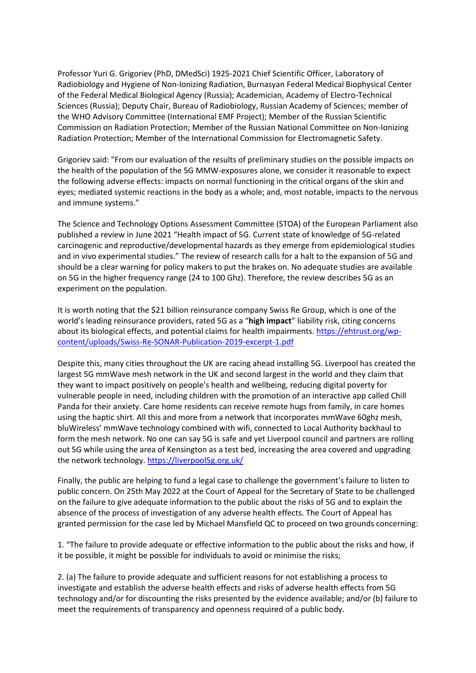Professor Yuri G. Grigoriev (PhD, DMedSci) 1925-2021 Chief Scientific Officer, Laboratory of Radiobiology and Hygiene of Non-Ionizing Radiation, Burnasyan Federal Medical Biophysical Center of the Federal Medical Biological Agency (Russia); Academician, Academy of Electro-Technical Sciences (Russia); Deputy Chair, Bureau of Radiobiology, Russian Academy of Sciences; member of the WHO Advisory Committee (International EMF Project); Member of the Russian Scientific Commission on Radiation Protection; Member of the Russian National Committee on Non-Ionizing Radiation Protection; Member of the International Commission for Electromagnetic Safety.

Grigoriev said: "From our evaluation of the results of preliminary studies on the possible impacts on the health of the population of the 5G MMW-exposures alone, we consider it reasonable to expect the following adverse effects: impacts on normal functioning in the critical organs of the skin and eyes; mediated systemic reactions in the body as a whole; and, most notable, impacts to the nervous and immune systems."

The Science and Technology Options Assessment Committee (STOA) of the European Parliament also published a review in June 2021 "Health impact of 5G. Current state of knowledge of 5G-related carcinogenic and reproductive/developmental hazards as they emerge from epidemiological studies and in vivo experimental studies." The review of research calls for a halt to the expansion of 5G and should be a clear warning for policy makers to put the brakes on. No adequate studies are available on 5G in the higher frequency range (24 to 100 Ghz). Therefore, the review describes 5G as an experiment on the population.

It is worth noting that the \$21 billion reinsurance company Swiss Re Group, which is one of the world's leading reinsurance providers, rated 5G as a "**high impact**" liability risk, citing concerns about its biological effects, and potential claims for health impairments. [https://ehtrust.org/wp](https://ehtrust.org/wp-content/uploads/Swiss-Re-SONAR-Publication-2019-excerpt-1.pdf)[content/uploads/Swiss-Re-SONAR-Publication-2019-excerpt-1.pdf](https://ehtrust.org/wp-content/uploads/Swiss-Re-SONAR-Publication-2019-excerpt-1.pdf)

Despite this, many cities throughout the UK are racing ahead installing 5G. Liverpool has created the largest 5G mmWave mesh network in the UK and second largest in the world and they claim that they want to impact positively on people's health and wellbeing, reducing digital poverty for vulnerable people in need, including children with the promotion of an interactive app called Chill Panda for their anxiety. Care home residents can receive remote hugs from family, in care homes using the haptic shirt. All this and more from a network that incorporates mmWave 60ghz mesh, bluWireless' mmWave technology combined with wifi, connected to Local Authority backhaul to form the mesh network. No one can say 5G is safe and yet Liverpool council and partners are rolling out 5G while using the area of Kensington as a test bed, increasing the area covered and upgrading the network technology.<https://liverpool5g.org.uk/>

Finally, the public are helping to fund a legal case to challenge the government's failure to listen to public concern. On 25th May 2022 at the Court of Appeal for the Secretary of State to be challenged on the failure to give adequate information to the public about the risks of 5G and to explain the absence of the process of investigation of any adverse health effects. The Court of Appeal has granted permission for the case led by Michael Mansfield QC to proceed on two grounds concerning:

1. "The failure to provide adequate or effective information to the public about the risks and how, if it be possible, it might be possible for individuals to avoid or minimise the risks;

2. (a) The failure to provide adequate and sufficient reasons for not establishing a process to investigate and establish the adverse health effects and risks of adverse health effects from 5G technology and/or for discounting the risks presented by the evidence available; and/or (b) failure to meet the requirements of transparency and openness required of a public body.